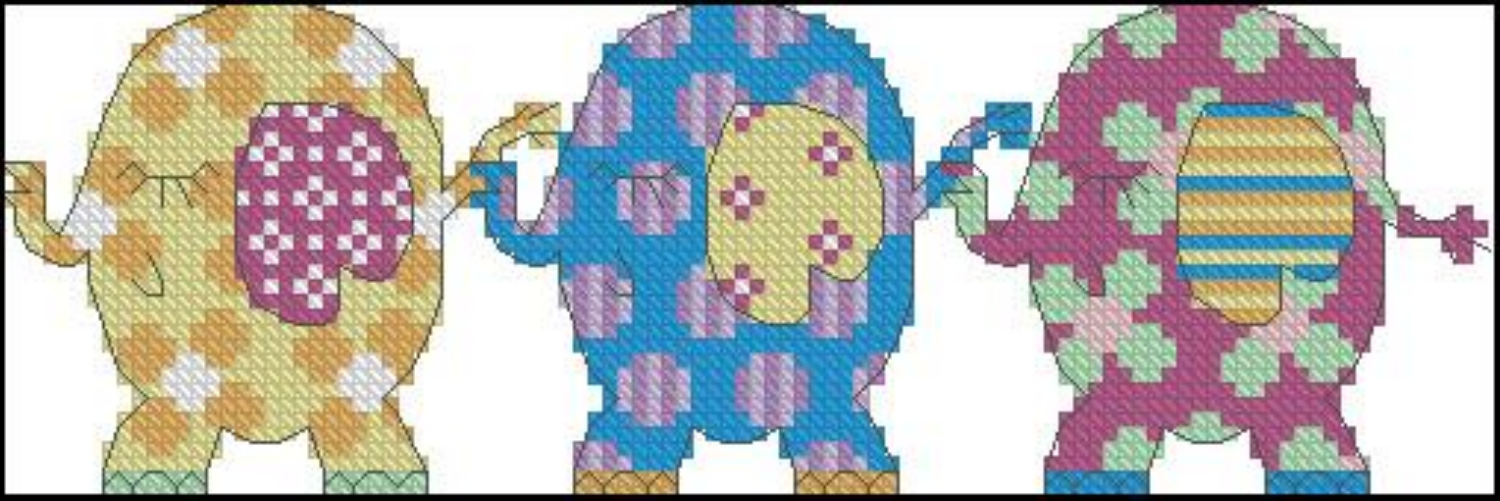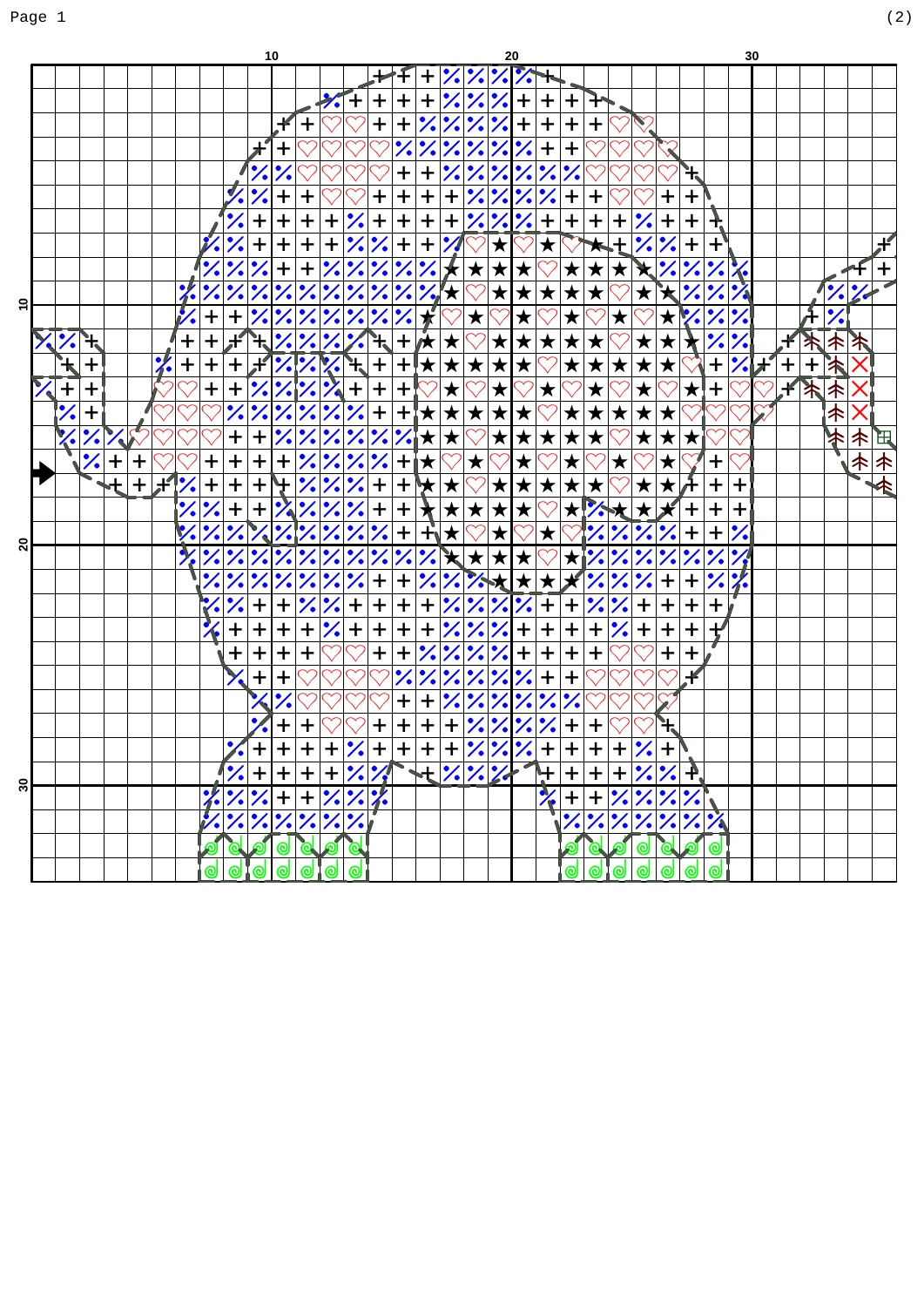|              |              |                         |                |                |                      |                             |                          |                          |                             | 10                                  |                          |                                                                              |                          |                                   |                          |                          |                          |                               | 20                          |                       |                                       |                         |                          |                               |                            |                         |                         |                          |                          | 30 |                |                |                          |     |              |
|--------------|--------------|-------------------------|----------------|----------------|----------------------|-----------------------------|--------------------------|--------------------------|-----------------------------|-------------------------------------|--------------------------|------------------------------------------------------------------------------|--------------------------|-----------------------------------|--------------------------|--------------------------|--------------------------|-------------------------------|-----------------------------|-----------------------|---------------------------------------|-------------------------|--------------------------|-------------------------------|----------------------------|-------------------------|-------------------------|--------------------------|--------------------------|----|----------------|----------------|--------------------------|-----|--------------|
|              |              |                         |                |                |                      |                             |                          |                          |                             |                                     |                          |                                                                              |                          |                                   |                          | $\mathbf +$              | $\frac{1}{2}$            | $\frac{1}{2}$                 |                             |                       |                                       |                         |                          |                               |                            |                         |                         |                          |                          |    |                |                |                          |     |              |
|              |              |                         |                |                |                      |                             |                          |                          |                             |                                     |                          |                                                                              | `+                       | $\ddag$                           | $\ddot{}$                | $\ddot{}$                | $\overline{\mathscr{C}}$ | $\frac{1}{2}$                 |                             |                       | $\ddot{}$                             | $\ddag$                 | ┭                        |                               |                            |                         |                         |                          |                          |    |                |                |                          |     |              |
|              |              |                         |                |                |                      |                             |                          |                          |                             | ¥                                   | $\ddag$                  |                                                                              |                          | $\overline{+}$                    | $\ddagger$               | $\frac{1}{2}$            | $\frac{1}{2}$            | $\frac{1}{2}$                 | $\boldsymbol{\mathscr{C}}$  | $\ddagger$            | $\ddot{}$                             | $\ddagger$              | $\ddag$                  |                               |                            |                         |                         |                          |                          |    |                |                |                          |     |              |
|              |              |                         |                |                |                      |                             |                          |                          | $\overline{\boldsymbol{t}}$ | $\ddagger$                          |                          |                                                                              |                          |                                   | $\overline{\mathscr{C}}$ | $\overline{\mathscr{C}}$ | $\frac{1}{\sqrt{2}}$     | $\overline{\mathscr{C}}$      | $\overline{\gamma}$         | $\lambda$             | $\overline{+}$                        | $\overline{+}$          |                          |                               |                            |                         |                         |                          |                          |    |                |                |                          |     |              |
|              |              |                         |                |                |                      |                             |                          |                          | $\frac{1}{2}$               | $\overline{\mathscr{C}}$            |                          |                                                                              |                          |                                   | $\ddot{}$                | $\ddot{}$                |                          |                               |                             |                       |                                       |                         |                          |                               |                            |                         | ᡶ                       |                          |                          |    |                |                |                          |     |              |
|              |              |                         |                |                |                      |                             |                          |                          |                             |                                     |                          |                                                                              |                          | $\overline{\frac{\heartsuit}{+}}$ | $\overline{+}$           | $\overline{+}$           |                          |                               |                             |                       |                                       | <u>%%%%%%</u><br>+%%%%+ | $\ddot{}$                |                               |                            | $\ddot{}$               | $\ddot{}$               |                          |                          |    |                |                |                          |     |              |
|              |              |                         |                |                |                      |                             |                          | $\overline{\mathscr{C}}$ | $\frac{1}{\sqrt{2}}$        | $\frac{+}{+}$                       | $\frac{+}{+}$            | $\overline{+}$                                                               | $\overline{\mathscr{C}}$ | $\overline{+}$                    | $\overline{+}$           | $\overline{+}$           | $\overline{+}$           | $\overline{\mathscr{C}}$      | $\frac{1}{2}$               | $\frac{1}{2}$         | $\ddot{}$                             | $\ddagger$              | $\ddot{}$                | $\ddot{}$                     | $\boldsymbol{\mathscr{C}}$ | $\ddot{}$               | $\ddag$                 | ╃                        |                          |    |                |                |                          |     |              |
|              |              |                         |                |                |                      |                             |                          |                          |                             | $\overline{+}$                      |                          |                                                                              | $\overline{\mathscr{C}}$ | $\overline{\mathscr{C}}$          | $\ddot{}$                | $+$                      |                          |                               |                             |                       |                                       |                         |                          | $\pm$                         | $\overline{\mathscr{C}}$   | $\frac{1}{2}$           | $\ddot{}$               | $\ddagger$               |                          |    |                |                |                          |     | $\mathbf{r}$ |
|              |              |                         |                |                |                      |                             |                          | $\frac{\gamma}{\gamma}$  | $\frac{1}{\gamma}$          | $\overline{+}$                      | $\frac{+}{+}$            | $\frac{+}{\gamma}$                                                           | $\overline{\mathbf{z}}$  |                                   |                          | $\overline{\mathscr{C}}$ | $\frac{y}{\cancel{1}}$   | $\frac{1}{\sqrt{2}}$          | $\frac{\star}{\star}$       | $\overline{1}$        | $\frac{1}{\sqrt{2}}$                  | $\overline{\star}$      | $\overline{\star}$       |                               |                            | $\overline{\mathbf{z}}$ | X                       |                          |                          |    |                |                |                          |     | $\ddot{}$    |
|              |              |                         |                |                |                      |                             |                          |                          |                             |                                     |                          |                                                                              |                          | $\overline{\mathscr{C}}$          | $\frac{1}{\sqrt{2}}$     |                          |                          |                               |                             |                       |                                       |                         |                          | $\bigstar$                    |                            |                         |                         |                          |                          |    |                |                |                          |     |              |
| °            |              |                         |                |                |                      |                             |                          | $\overline{\mathscr{C}}$ |                             | $\overline{\gamma}$                 | $\overline{\mathscr{C}}$ | $\overline{\mathscr{C}}$                                                     | $\overline{\mathscr{C}}$ | $\overline{\mathscr{C}}$          | $\overline{\mathscr{C}}$ | $\frac{1}{\sqrt{2}}$     | $\overline{\textbf{t}}$  |                               |                             | ★                     | $\star$                               | ★                       | ★                        |                               | $\bigstar$                 |                         |                         | ٠                        |                          |    |                |                | $1\frac{1}{2}$           |     |              |
|              |              |                         |                |                |                      | Ņ<br>$\overline{\cdot}$     | $\overline{+}$           | $+$                      | $\overline{\mathscr{C}}$    | $\frac{1}{\sqrt{2}}$                | $\mathbf{z}$             | $\frac{1}{\sqrt{2}}$                                                         | $\overline{\mathscr{C}}$ | $\frac{1}{\sqrt{2}}$              | $\frac{1}{6}$            | $\overline{\bm{\star}}$  | $\frac{1}{\sqrt{}}$      | $\bigstar$                    |                             | $\bigstar$            |                                       | $\bigstar$              |                          | $\bigstar$                    |                            | $\bigstar$              | $\frac{1}{2}$           | $\overline{\phantom{a}}$ | $\overline{\mathscr{C}}$ |    |                |                | $\overline{\mathscr{C}}$ |     |              |
|              |              | Ϟ                       |                |                |                      | $\frac{+}{+}$               | $+$                      | $\overline{t}$           |                             | $\sqrt{2}$                          |                          | 1.1.1.                                                                       |                          | $\frac{1}{2}$                     | $\ddot{}$                | 大大                       |                          | $\frac{1}{\star}$             | ★★                          |                       | $\overline{\frac{\star}{\heartsuit}}$ | $\overline{\star}$      | $\bigstar$               |                               | $\frac{\star}{\star}$      | $\overline{\mathbf{t}}$ | ★                       | $\frac{1}{2}$            | $\frac{1}{2}$            |    |                |                |                          |     |              |
|              |              | $\ddot{}$               |                |                | $\frac{1}{2}$        |                             | $\frac{+}{+}$            | $\overline{+}$           | 才                           |                                     |                          | $\frac{1}{2}$                                                                | ᠲ                        |                                   | $\overline{+}$           |                          |                          |                               |                             |                       |                                       |                         | $\overline{\star}$       | $\overline{\bigstar}$         |                            |                         |                         | $\overline{+}$           | $\overline{\mathscr{C}}$ |    | $\overline{+}$ | $\overline{+}$ | 木木木木                     |     |              |
|              | $\mathbf{+}$ | $\ddot{}$               |                |                |                      |                             |                          | $\overline{+}$           | $\overline{\mathbf{z}}$     | $\overline{\mathscr{C}}$            | 7.                       |                                                                              | $\ddot{}$                | $\ddot{}$                         | $\overline{+}$           | $\overline{\heartsuit}$  | $\overline{\bigstar}$    | $\overline{\heartsuit}$       | $\sqrt{2}$                  |                       | $\overline{\star}$                    |                         | $\overline{\bigstar}$    |                               | $\bigstar$                 |                         | $\overline{\bigstar}$   | $\ddot{}$                |                          |    | .⊀             | 不              |                          |     |              |
|              |              | $\ddot{}$               |                |                |                      | $\frac{\text{d}}{\text{d}}$ | $+$ $\otimes$            | $\frac{1}{\sqrt{2}}$     |                             | $\overline{\gamma}$                 | $\overline{\cdot}$       | $\frac{1}{2}$                                                                | <u>%</u>                 | $\frac{+}{\gamma}$                | $+$                      |                          | $\frac{\star}{\star}$    | $\frac{\bigstar}{\heartsuit}$ | ★★                          |                       | $\frac{1}{\sqrt{2}}$                  | $\frac{1}{\star}$       | $\frac{1}{2}$            | $\frac{\bigstar}{\heartsuit}$ | $\bigstar$                 | $\bigstar$              |                         |                          |                          |    |                |                |                          |     |              |
|              | X.           |                         |                | 3              |                      |                             |                          | $+$                      |                             |                                     | $\overline{\mathscr{C}}$ | $\overline{\mathscr{C}}$                                                     | $\overline{\gamma}$      |                                   | $\frac{1}{\sqrt{2}}$     |                          |                          |                               |                             |                       |                                       |                         | $\overline{\star}$       |                               | $\overline{\bigstar}$      | $\overline{\star}$      | $\overline{\star}$      |                          |                          |    |                |                |                          | <本本 | 田            |
|              |              | $\frac{\gamma}{\gamma}$ | $\overline{+}$ | $\ddot{}$      |                      |                             |                          | $\overline{+}$           | $\frac{+}{+}$               |                                     |                          | $\overline{\frac{2}{5}}$                                                     | $\overline{\mathscr{C}}$ | $\overline{\mathscr{C}}$          | $\overline{+}$           |                          |                          | $\overline{\bigstar}$         |                             | $\overline{\bigstar}$ |                                       | $\bar{\star}$           |                          | $\tilde{\mathbf{R}}$          |                            | $\bigstar$              |                         | $\ddot{}$                |                          |    |                |                |                          |     | 未本           |
|              |              |                         |                | $\overline{+}$ | $\overrightarrow{+}$ | $\frac{1}{2}$               | $\overline{+}$           | $\frac{+}{+}$            | $\frac{+}{+}$               | $\frac{1}{2}$                       | $\overline{\mathscr{C}}$ | $\frac{\gamma}{\gamma}$                                                      | $\frac{1}{\sqrt{2}}$     |                                   | $\overline{+}$           | <b>A A A A A A</b>       | $\frac{1}{\sqrt{2}}$     | $\overline{\heartsuit}$       |                             | $\overline{\star}$    | $\frac{\bigstar}{\heartsuit}$         | $\overline{\mathbf{t}}$ | $\bigstar$               |                               | $\bigstar$                 | $\bigstar$              |                         | $\ddot{}$                | $\ddot{}$                |    |                |                |                          |     |              |
|              |              |                         |                |                |                      |                             | $\overline{\mathbf{z}}$  |                          |                             |                                     | $\frac{1}{\sqrt{2}}$     |                                                                              | %                        |                                   | $\overline{+}$           |                          |                          | $\overline{\star}$            |                             | $\overline{\star}$    |                                       |                         | 75                       |                               | $\overline{\star}$         |                         | $\ddot{}$               | $\ddot{}$                | $\ddagger$               |    |                |                |                          |     |              |
|              |              |                         |                |                |                      |                             | $\overline{\mathcal{U}}$ | $\overline{\mathscr{C}}$ | X                           | $\mathbf{z}$                        | $\overline{\mathscr{C}}$ | $\overline{\mathscr{C}}$                                                     | $\overline{\mathscr{C}}$ | $\frac{+}{\gamma}$                | $\overline{+}$           |                          | $\overline{\bigstar}$    |                               | ★★★                         |                       | $\overline{\star}$                    |                         | .•ا<br>٠                 | ۰,                            | 5                          |                         | $\overline{+}$          | $\overline{+}$           | $\overline{\mathscr{C}}$ |    |                |                |                          |     |              |
| $\mathbf{S}$ |              |                         |                |                |                      |                             |                          | $\frac{1}{\cdot}$        | $\overline{\mathscr{C}}$    | Z                                   | $\frac{1}{\sqrt{2}}$     | $\frac{1}{\sqrt{2}}$                                                         | %                        | %                                 | $\frac{1}{\sqrt{2}}$     | $\overline{\mathscr{C}}$ | $\blacktriangledown$     |                               |                             | $\bigstar$            |                                       | $\bigstar$              |                          |                               | $\overline{\mathscr{C}}$   |                         | $\overline{\mathbf{z}}$ | $\frac{1}{2}$            |                          |    |                |                |                          |     |              |
|              |              |                         |                |                |                      |                             |                          | $\frac{1}{\sqrt{2}}$     |                             |                                     |                          | $\frac{2}{10}$                                                               | $\frac{1}{\sqrt{2}}$     |                                   | $\overline{+}$           | $\frac{1}{6}$            | $\overline{\mathscr{C}}$ |                               | ★★                          | $\bar{\mathbf{X}}$    | $\overline{\star}$                    |                         | $\frac{1}{2}$            |                               | $\frac{1}{2}$              | $\ddot{}$               | $\ddot{}$               | $\frac{1}{2}$            |                          |    |                |                |                          |     |              |
|              |              |                         |                |                |                      |                             | $\bullet$                |                          |                             |                                     | $\overline{\mathscr{C}}$ | $\overline{\mathscr{C}}$                                                     | $\overline{+}$           | $\frac{+}{+}$                     | $\overline{+}$           | $\overline{+}$           | $\overline{\mathscr{C}}$ | $\overline{\mathscr{C}}$      | $\overline{\gamma}$         | %                     | Ŧ                                     | $\overline{+}$          | $\overline{\mathscr{C}}$ | $\overline{\mathscr{C}}$      | $\overline{+}$             | $\overline{+}$          | $\overline{+}$          | $\overline{+}$           |                          |    |                |                |                          |     |              |
|              |              |                         |                |                |                      |                             |                          | $\frac{2}{1}$            |                             |                                     | $\overline{+}$           | $\overline{\mathscr{C}}$                                                     | $\overline{+}$           | $\ddot{}$                         | $\ddot{}$                | $\overline{+}$           | $\overline{\mathscr{C}}$ |                               | $\frac{2}{10}$              | $\ddot{}$             | $\overline{+}$                        | $\overline{+}$          | $\overline{+}$           | $\overline{\mathscr{C}}$      | $\overline{+}$             | $\overline{+}$          | $\overline{+}$          | $\overline{\mathbf{t}}$  |                          |    |                |                |                          |     |              |
|              |              |                         |                |                |                      |                             |                          | $\ddot{}$                |                             |                                     | $\ddot{}$                |                                                                              |                          | $\ddot{}$                         | $\ddagger$               | $\overline{\mathscr{C}}$ | $\frac{1}{\sqrt{2}}$     | $\frac{1}{2}$                 | $\sqrt{\frac{2}{\sqrt{2}}}$ | $\ddagger$            | $\ddot{}$                             | $\ddot{}$               | $\ddot{}$                |                               |                            | $\ddot{}$               | $\overline{+}$          |                          |                          |    |                |                |                          |     |              |
|              |              |                         |                |                |                      |                             |                          |                          |                             | $\frac{1}{2}$ + + + + $\frac{1}{2}$ |                          |                                                                              |                          |                                   | $\overline{\mathscr{C}}$ | $\frac{1}{\sqrt{2}}$     | $\frac{1}{\sqrt{2}}$     |                               | $\frac{2}{3}$               | $\frac{1}{2}$         | $\overline{+}$                        | $\ddot{}$               |                          |                               |                            |                         | $\blacktriangleright$   |                          |                          |    |                |                |                          |     |              |
|              |              |                         |                |                |                      |                             |                          |                          |                             | $\overline{\mathscr{C}}$            |                          |                                                                              |                          |                                   | $\ddot{}$                | $\ddagger$               |                          |                               | $\frac{1}{2}$               |                       |                                       | $\frac{1}{2}$           |                          |                               |                            |                         |                         |                          |                          |    |                |                |                          |     |              |
|              |              |                         |                |                |                      |                             |                          |                          | $\frac{1}{2}$               |                                     |                          |                                                                              |                          |                                   |                          | $\overline{+}$           | $\frac{1}{1}$            |                               |                             |                       | $\frac{1}{2}$                         | $\overline{+}$          |                          |                               |                            |                         |                         |                          |                          |    |                |                |                          |     |              |
|              |              |                         |                |                |                      |                             |                          |                          |                             | $\ddot{}$                           | $\ddot{}$                |                                                                              |                          | $\ddot{}$                         | $\ddagger$               |                          |                          |                               |                             |                       |                                       |                         | $\ddagger$               |                               |                            | Ϟ                       |                         |                          |                          |    |                |                |                          |     |              |
|              |              |                         |                |                |                      |                             |                          |                          | $\ddag$                     | <u>+</u>                            | $\ddagger$               | $\mathbf +$                                                                  | ℅                        | $\frac{+}{2}$                     | $\ddagger$               | $\frac{1}{\sqrt{2}}$     |                          |                               | $+2222$<br>+2222+<br>2222   |                       |                                       | $\frac{+}{+}$           | $\frac{+}{+}$            | $\frac{+}{+}$                 | $\frac{\gamma}{\gamma}$    | $\frac{+}{\gamma}$      | $\mathsf{L}$            |                          |                          |    |                |                |                          |     |              |
| 30           |              |                         |                |                |                      |                             |                          | ╱∙                       | $\overline{+}$              | $\overline{+}$                      | $\overline{+}$           | $\overline{+}$                                                               | $\overline{\mathbf{z}}$  |                                   |                          |                          |                          |                               |                             |                       |                                       |                         |                          |                               |                            |                         | Ł,                      |                          |                          |    |                |                |                          |     |              |
|              |              |                         |                |                |                      |                             |                          | $\frac{\gamma}{\gamma}$  |                             |                                     |                          | $\frac{2}{2}$ + + $\frac{2}{2}$<br>$\frac{2}{2}$ $\frac{2}{2}$ $\frac{2}{2}$ | $\frac{1}{2}$            | <b>/</b>                          |                          |                          |                          |                               |                             |                       | X                                     |                         | $\frac{1}{\frac{1}{2}}$  |                               |                            |                         |                         |                          |                          |    |                |                |                          |     |              |
|              |              |                         |                |                |                      |                             | $\check{\bullet}$        |                          |                             |                                     |                          |                                                                              |                          |                                   |                          |                          |                          |                               |                             |                       |                                       |                         |                          |                               |                            |                         |                         | $\lambda$                |                          |    |                |                |                          |     |              |
|              |              |                         |                |                |                      |                             |                          | $\bullet$                |                             | $\frac{1}{\sqrt{2}}$                | $\bullet$                |                                                                              | $\mathbf{\mathfrak{a}}$  |                                   |                          |                          |                          |                               |                             |                       |                                       | Ø                       | $\mathbf{C}$             |                               | <u>ම</u>                   | $\bullet$               | Ø                       | $\overline{\bullet}$     |                          |    |                |                |                          |     |              |
|              |              |                         |                |                |                      |                             | $\overline{\bullet}$     |                          | $\bigcirc$ $\bigcirc$       |                                     | $\bullet$ .              | $\bullet$                                                                    | ◙                        |                                   |                          |                          |                          |                               |                             |                       |                                       | $\bullet$               | $\mathbf{Q}$             | $\overline{\bullet}$          | $\overline{\bullet}$       | ◙                       | $\circledcirc$          | ◙                        |                          |    |                |                |                          |     |              |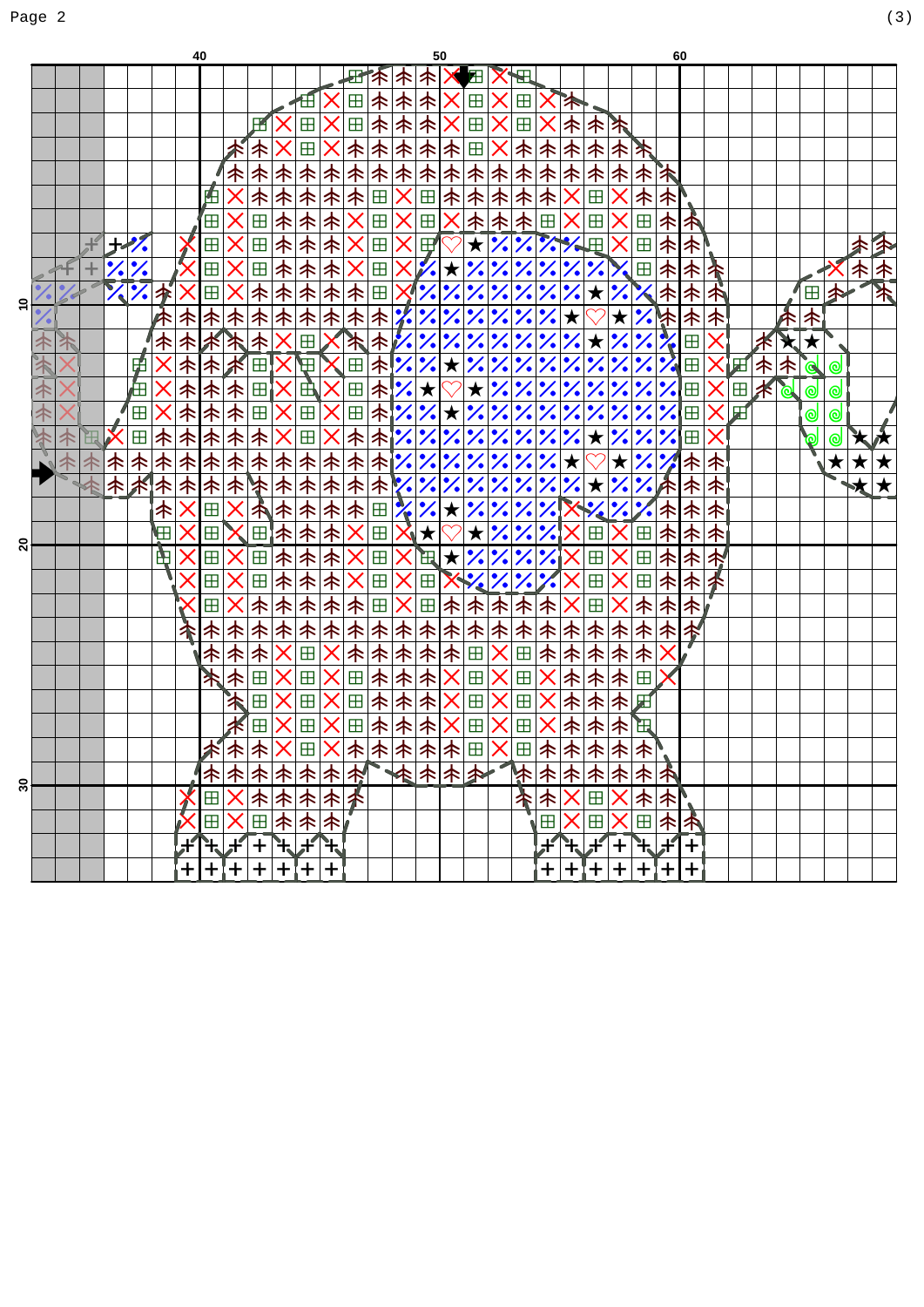| Page 2 | (3) |
|--------|-----|
|        |     |

|                   |          |                  |    |                |                         |                 | 40                                                    |                                 |                                  |                         |                                 |                         |                                  |                                    |                 |                                       | 50                   |                                     |                                     |                                 |                                                   |                                                       |                          |                                 |                          | 60                                                        |                          |                                                   |   |                         |            |                         |                          |   |            |
|-------------------|----------|------------------|----|----------------|-------------------------|-----------------|-------------------------------------------------------|---------------------------------|----------------------------------|-------------------------|---------------------------------|-------------------------|----------------------------------|------------------------------------|-----------------|---------------------------------------|----------------------|-------------------------------------|-------------------------------------|---------------------------------|---------------------------------------------------|-------------------------------------------------------|--------------------------|---------------------------------|--------------------------|-----------------------------------------------------------|--------------------------|---------------------------------------------------|---|-------------------------|------------|-------------------------|--------------------------|---|------------|
|                   |          |                  |    |                |                         |                 |                                                       |                                 |                                  |                         |                                 |                         | 毌                                | 个                                  | 尒               | 体                                     |                      |                                     |                                     | 田                               |                                                   |                                                       |                          |                                 |                          |                                                           |                          |                                                   |   |                         |            |                         |                          |   |            |
|                   |          |                  |    |                |                         |                 |                                                       |                                 |                                  |                         | ⊞                               | Х                       | 田                                | $\bigstar$                         |                 | $\bigstar$                            |                      | $\boxplus$                          |                                     | $\boxplus$                      |                                                   | 李                                                     |                          |                                 |                          |                                                           |                          |                                                   |   |                         |            |                         |                          |   |            |
|                   |          |                  |    |                |                         |                 |                                                       |                                 |                                  |                         | $\boxplus$                      |                         | $\mathbb{H}$                     |                                    |                 |                                       |                      | $\boxplus$                          |                                     | $\mathbb{H}$                    |                                                   | <u> 木</u>                                             |                          | 木                               |                          |                                                           |                          |                                                   |   |                         |            |                         |                          |   |            |
|                   |          |                  |    |                |                         |                 |                                                       |                                 | 木                                |                         | $\overline{H}$                  | X                       | $\overline{\textstyle\bigstar}$  | 木                                  | 木               | _<br>个                                | 中                    | 田                                   |                                     | _<br>个                          | 木                                                 | $\frac{1}{2}$                                         | 木                        | 木                               | 不                        |                                                           |                          |                                                   |   |                         |            |                         |                          |   |            |
|                   |          |                  |    |                |                         |                 |                                                       | $\hat{\Phi}$                    | 木                                | 体                       | 木                               | <b>木</b>                | $\bigstar$                       | 李                                  | 木               | 生                                     | 座                    | 本                                   |                                     | 木                               | 木                                                 | <u> 木</u>                                             | 本                        |                                 |                          | 木                                                         |                          |                                                   |   |                         |            |                         |                          |   |            |
|                   |          |                  |    |                |                         |                 | 圅                                                     |                                 | <u> 木</u>                        | <u> 木</u>               | $\overline{\ast}$               | 木                       | 木                                | $\mathbb H$                        | $\times$        | $\boxplus$                            | 枣                    | $\overline{\ast}$                   | $\overline{\ast}$                   | 本                               | $\overline{\ast}$                                 |                                                       | $\boxplus$               |                                 |                          | <u> 木</u>                                                 |                          |                                                   |   |                         |            |                         |                          |   |            |
|                   |          |                  |    |                |                         |                 | $\mathbb{H}$                                          |                                 | H                                | 本                       | 本                               | 本                       | $\times$                         | $\boxplus$                         | X               | $\mathbb{H}$                          |                      | 本                                   | 李                                   | 本                               | $\mathbb H$                                       |                                                       | $\boxplus$               |                                 | $\boxplus$               | 不                                                         | 术                        |                                                   |   |                         |            |                         |                          |   |            |
|                   |          | ポ                | 玉  |                |                         |                 | $\mathbb{H}$                                          | X                               | $\mathbb{H}$                     | $\bigstar$              | 本                               | 本                       | $\times$                         | $\mathbb H$                        | $\times$        | 里                                     |                      |                                     | $\overline{\mathscr{C}}$            | 7.7.                            |                                                   |                                                       | 田                        |                                 | $\blacksquare$           |                                                           | $\bigstar$               |                                                   |   |                         |            |                         |                          |   |            |
|                   |          |                  |    |                |                         |                 | $\overline{E}$                                        | $\overline{\mathsf{X}}$         | $\boxplus$                       | $\bigstar$              | $\bigstar$                      | $\overline{\ast}$       | X                                | $\boxplus$                         |                 |                                       | ★                    |                                     | $\frac{2}{10}$                      |                                 |                                                   | $\frac{1}{2}$                                         | %                        |                                 | $\mathbb{H}$             | —<br><br><br><br><br><br><br><br><br><br><br><br><br><br> |                          |                                                   |   |                         |            |                         |                          | 仐 |            |
|                   |          |                  | 77 |                | 衤                       | ×               | $\overline{H}$                                        |                                 | 不                                | 木                       | 本                               | 本                       | $\overline{\textstyle \bigstar}$ | 田                                  |                 | $\sqrt{\frac{2}{\pi}}$                | $\frac{1}{\sqrt{2}}$ | $\frac{1}{2}$                       | $\frac{1}{2}$                       | 7.7                             |                                                   | $\frac{1}{2}$                                         | $\bigstar$               | ٠                               |                          | 不                                                         | 不                        | 夲                                                 |   |                         |            | $\overline{H}$          |                          |   | 全未采        |
| ő                 |          |                  |    |                | 中                       |                 |                                                       | <u>木</u>                        | <u> 木</u>                        | 木                       | 木                               | 木                       | <u> 木</u>                        | <u> 木</u>                          | $\frac{1}{2}$   | $\frac{1}{2}$                         | $\frac{1}{2}$        | $\overline{\mathscr{C}}$            | $\frac{1}{2}$                       | $\frac{2}{3}$                   |                                                   | $\bigstar$                                            |                          | $\bigstar$                      | $\check{ }$              |                                                           | <u> 木</u>                | $\star$                                           |   |                         |            |                         |                          |   |            |
|                   |          |                  |    |                | $\hat{\ast}$            | <b>本本本本本本本文</b> | 本本                                                    | $\frac{1}{\lambda}$             | $\ket*$                          |                         | $\boxplus$                      |                         | $\ast$                           |                                    | <b>V.</b>       | $\frac{\frac{1}{100}}{\frac{1}{100}}$ |                      |                                     | $\frac{\frac{1}{12}}{\frac{1}{12}}$ | $\frac{\gamma}{\gamma}$         |                                                   | $\boldsymbol{\mathsf{z}}$                             | $\bigstar$               | $\frac{1}{2}$                   | $\frac{1}{2}$            |                                                           | $\mathbb{E}$             |                                                   |   | 术                       | $\bigstar$ | 本大                      |                          |   |            |
|                   |          |                  |    | 勇富             |                         |                 |                                                       |                                 | $\mathbf{H}$                     |                         |                                 | X                       | $\mathbb{E}$                     | <b><br/><br/> <del>《</del> / 长</b> | %               |                                       |                      |                                     |                                     |                                 |                                                   | $\overline{\mathscr{C}}$                              | $\overline{\mathscr{C}}$ | $\overline{\mathscr{C}}$        | $\overline{\mathscr{C}}$ | $\overline{\mathbf{z}}$                                   | $\overline{E}$           |                                                   | 屈 | _<br>个                  | 本          | d                       | $\circledcirc$           |   |            |
|                   |          |                  |    |                |                         |                 | 本本本                                                   | 水木木                             | $\mathbb{E}$                     |                         | 甲油                              |                         | $\mathbb{H}$                     |                                    | <sup>'</sup>    | $\overline{\mathbf{r}}$               |                      | $\frac{1}{2}$                       | <b>%</b>                            | $\frac{2}{3}$                   |                                                   | $\overline{\mathscr{C}}$                              | $\overline{\mathscr{C}}$ | $\frac{1}{2}$                   | $\frac{1}{2}$            | $\frac{1}{2}$                                             | $\boxplus$               | $\times$                                          | E | $\overline{\textbf{r}}$ | $\bullet$  | $\overline{d}$          | $\underline{\mathbf{O}}$ |   |            |
|                   | <u>木</u> |                  |    | $\mathbb{H}$   | $\overline{\mathsf{X}}$ |                 |                                                       |                                 | $\mathbb{H}$                     | $\times$                | $\mathbb{H}$                    | $\times$                | $\overline{\boxplus}$            | $\star$                            | <b>%</b>        | $\overline{\mathscr{C}}$              | ★                    | $\bar{Z}$                           | $\frac{1}{2}$                       |                                 |                                                   | $\frac{1}{2}$                                         | <b>X</b>                 | %                               | %                        | $\frac{1}{2}$                                             | $\boxplus$               |                                                   | 屈 |                         |            | ◙                       | $\bullet$                |   |            |
|                   | 千        | 田                |    | $\overline{H}$ |                         |                 |                                                       |                                 | 本                                | $\overline{X}$          | $\mathbb{H}$                    | X                       |                                  |                                    |                 |                                       |                      |                                     |                                     |                                 |                                                   | $\overline{\mathscr{C}}$                              | $\bigstar$               | %                               | $\frac{1}{2}$            | $\frac{1}{2}$                                             | $\boxplus$               |                                                   |   |                         |            | $\overline{\mathbf{e}}$ | $\overline{\mathbf{e}}$  |   |            |
|                   |          | $\hat{\uparrow}$ |    |                |                         |                 |                                                       | 本本                              | $\overline{\textstyle\bigstar}$  |                         | $\overline{\ast}$               | 本                       | 本本                               | 本本                                 |                 |                                       |                      |                                     |                                     |                                 |                                                   | $\bigstar$                                            |                          | $\bigstar$                      | $\frac{1}{2}$            |                                                           | $\overline{\mathcal{F}}$ |                                                   |   |                         |            |                         | $\bigstar$               | 大 | $\bigstar$ |
|                   |          |                  | 本本 | 木木             | 本本本本                    |                 | 本本本田                                                  | $\overline{\textstyle\bigstar}$ | $\overline{\mathbf{F}}$          | $\bigstar$              | $\overline{\textstyle\bigstar}$ | 本                       | 本                                | 木                                  | <b>K</b>        |                                       | $\overline{\gamma}$  | $\overline{\mathscr{C}}$            | $\frac{1}{\sqrt{2}}$                |                                 | $\overline{\mathcal{C}}$                          |                                                       |                          |                                 |                          |                                                           | <u>木</u>                 | _<br><br><br><br><br><br><br><br><br><br><br><br> |   |                         |            |                         |                          |   | $\star$    |
|                   |          |                  |    |                |                         |                 |                                                       |                                 | $\blacktriangle$                 | $\bigstar$              | <u>本</u>                        | 本                       | 本                                | H                                  | X               |                                       |                      | $\frac{1}{2}$ $\star$ $\frac{1}{2}$ | $\frac{1}{2}$                       | $\frac{1}{2}$                   |                                                   |                                                       | $\bar{\bullet}$          | $\bullet$<br>$\overline{\cdot}$ | $\bullet$                | 本本                                                        |                          | $\overline{\textbf{r}}$                           |   |                         |            |                         |                          |   |            |
|                   |          |                  |    |                | 田                       |                 | $\overline{E}$                                        | $\bm{\mathsf{X}}$               | $\mathbb{H}$                     | 木                       | 本                               | 本                       | $\overline{\mathsf{x}}$          | $\mathbb H$                        | $\mathbf{X}$    | $\overline{\star}$                    |                      |                                     | $\overline{\star}$ %                | $\overline{\mathscr{C}}$        |                                                   |                                                       | $\mathbb H$              |                                 | $\mathbb{H}$             |                                                           |                          | $\overline{\texttt{t}}$                           |   |                         |            |                         |                          |   |            |
| $\overline{20}$   |          |                  |    |                | 史                       |                 | $\overline{E}$                                        | $\bm{\times}$                   | $\mathbf{\bar{H}}$               | $\bigstar$              | <u>木</u>                        | 本                       | $\times$                         | $\mathbb H$                        | X               | 田                                     | $\bigstar$           |                                     | $\frac{1}{2}$                       | $\frac{1}{2}$                   | $\mathbf{z}$                                      |                                                       | $\mathbb H$              |                                 | $\boxplus$               | $\bigstar$                                                | $\overline{\ast}$        | 木                                                 |   |                         |            |                         |                          |   |            |
|                   |          |                  |    |                |                         |                 | $\overline{H}$                                        | $\bm{\mathsf{X}}$               | $\overline{H}$                   | 本                       | 本                               | 本                       | X                                | $\boxplus$                         | X               | $\boxplus$                            | XY.                  |                                     | $\sqrt{2}$                          | $\overline{\mathscr{C}}$        | $\bullet$                                         |                                                       | $\mathbb{H}$             |                                 | $\overline{\mathbb{E}}$  | $\overline{\ast}$                                         | $\overline{\ast}$        |                                                   |   |                         |            |                         |                          |   |            |
|                   |          |                  |    |                |                         | v               | $\overline{E}$                                        | $\times$                        | 本                                | $\bigstar$              | $\bigstar$                      | 木                       | $\overline{\ast}$                | $\mathbb H$                        |                 | $\boxplus$                            | <u> 木</u>            | 本                                   | <u>木</u>                            | 木                               | <u> 木</u>                                         |                                                       | $\boxplus$               |                                 | $\overline{\ast}$        | $\frac{1}{2}$                                             | $\overline{\ast}$        |                                                   |   |                         |            |                         |                          |   |            |
|                   |          |                  |    |                |                         | ネ               | —<br><br><br><br><br><br><br><br><br><br><br><br><br> | 木                               | 木                                | 本                       | 本                               | 本                       | <u> 木</u>                        | 木                                  | 木               | 本                                     | 中                    | <u> 木</u>                           | $\overline{\ast}$                   | $\overline{\textstyle\bigstar}$ | 本                                                 | <u>木</u>                                              | 木                        | <u>木</u>                        | 木                        | $\overline{\ast}$                                         |                          |                                                   |   |                         |            |                         |                          |   |            |
|                   |          |                  |    |                |                         |                 |                                                       |                                 | $\overline{\textstyle \bigstar}$ |                         | $\boxplus$                      | $\times$                | 不                                | 木                                  | 木               | 不                                     | $\left \ast\right $  | $\mathbb{H}$                        |                                     | $\mathbb{H}$                    | 衤                                                 | $\overline{\ast}$                                     | 不                        | 不                               | 枣                        |                                                           |                          |                                                   |   |                         |            |                         |                          |   |            |
|                   |          |                  |    |                |                         |                 | 木                                                     | 本<br> 本                         | $\boxplus$                       |                         | $\boxplus$                      | $\bm{\times}$           | $\mathbb H$                      | 木                                  | 未               | $\bigstar$                            |                      | $\mathbb{H}$                        |                                     | $\mathbb H$                     |                                                   | $\left  \frac{1}{2} \right $                          | 木                        | 木                               | $\mathbb{H}$             |                                                           |                          |                                                   |   |                         |            |                         |                          |   |            |
|                   |          |                  |    |                |                         |                 |                                                       | $\frac{1}{\lambda}$             | $\mathbb{H}$                     |                         | $\boxplus$                      |                         | $\boxplus$                       | $\bigstar$                         |                 | $\bigstar$                            |                      | $\mathbb{H}$                        |                                     | $\boxplus$                      |                                                   |                                                       |                          | $\overline{\ast}$               | 囲                        |                                                           |                          |                                                   |   |                         |            |                         |                          |   |            |
|                   |          |                  |    |                |                         |                 |                                                       | 孑                               | $\mathbb{H}$                     | $\overline{\mathsf{x}}$ | $\overline{H}$                  | $\overline{\mathsf{x}}$ | $\overline{\mathbb{E}}$          | $ \!\! \!+\!\!$                    | 未未              | $\overline{\ast}$                     |                      | $\overline{H}$                      |                                     | $\overline{\mathbb{E}}$         |                                                   | —<br><br><br><br><br><br><br><br><br><br><br><br><br> | 本本                       | $\overline{\texttt{t}}$         | $\overline{\mathbb{H}}$  |                                                           |                          |                                                   |   |                         |            |                         |                          |   |            |
|                   |          |                  |    |                |                         |                 |                                                       |                                 |                                  |                         | 田                               |                         |                                  | 不                                  |                 | 本                                     |                      | $\mathbb{H}$                        |                                     | $\mathbb H$                     |                                                   |                                                       |                          |                                 | 李                        |                                                           |                          |                                                   |   |                         |            |                         |                          |   |            |
|                   |          |                  |    |                |                         |                 | 木 $\overline{\textstyle\bigstar}$                     | $\hat{+}$                       | $\hat{\ast}$                     |                         | 木                               | 木                       | 礻                                |                                    | $\blacklozenge$ | 本                                     | 未来                   | 本                                   |                                     | $\blacklozenge$                 | <br><br> <br><br><br><br><br><br><br><br><br><br> | $\overline{\ast}$                                     | $\overline{\ast}$        | 不                               | $\overline{\ast}$        | <u>木</u>                                                  |                          |                                                   |   |                         |            |                         |                          |   |            |
| $\boldsymbol{30}$ |          |                  |    |                |                         |                 | $\boxplus$                                            | $\times$                        | 木田                               | 本本                      |                                 |                         | 才                                |                                    |                 |                                       |                      |                                     |                                     | 木                               | 木田                                                |                                                       | $\boxplus$               |                                 |                          |                                                           |                          |                                                   |   |                         |            |                         |                          |   |            |
|                   |          |                  |    |                |                         |                 | $\overline{\mathbb{H}}$                               | $\times$                        |                                  |                         | 木木木                             | 木木                      |                                  |                                    |                 |                                       |                      |                                     |                                     |                                 |                                                   |                                                       | $\blacksquare$           |                                 | 国外                       | 本本                                                        | 入                        |                                                   |   |                         |            |                         |                          |   |            |
|                   |          |                  |    |                |                         | ポ               | $\overline{H}$                                        | $\bm{+}$                        | $\frac{1}{+}$                    | ᠲ                       |                                 | ᠲ                       |                                  |                                    |                 |                                       |                      |                                     |                                     |                                 | $\mathbf{+}$                                      | ᠲ                                                     | $\star$                  | $+$                             | ᠲ                        | $\mathbf{H}$                                              | $+$                      |                                                   |   |                         |            |                         |                          |   |            |
|                   |          |                  |    |                |                         | $\overline{+}$  | $\overline{+}$                                        | $\overline{+}$                  |                                  | $\overline{+}$          | $\ddot{}$                       | $\ddot{}$               |                                  |                                    |                 |                                       |                      |                                     |                                     |                                 | $\overline{+}$                                    | $\overline{+}$                                        | $\overline{+}$           | $\overline{+}$                  | $\overline{+}$           | $\ddot{}$                                                 | $\ddot{}$                |                                                   |   |                         |            |                         |                          |   |            |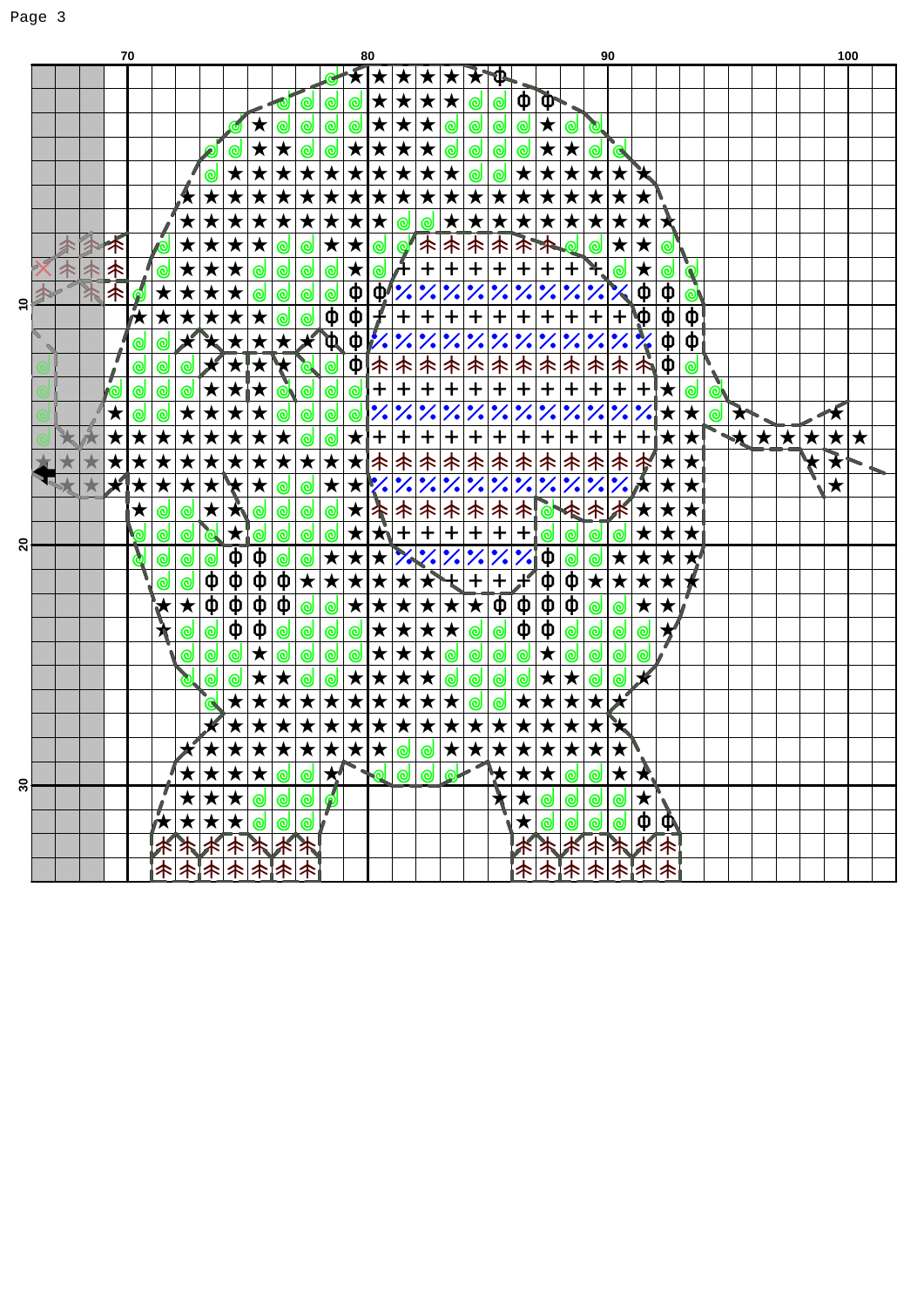|    |   |            |                       | 70                    |                                 |                      |                         |                            |                                       |                         |                            |                            |                                 | 80                                           |                                                         |                          |                          |                          |                          |                                |                         |                         |                                              | 90                            |                                                       |                             |                                                           |                |            |    |              | 100                |   |  |
|----|---|------------|-----------------------|-----------------------|---------------------------------|----------------------|-------------------------|----------------------------|---------------------------------------|-------------------------|----------------------------|----------------------------|---------------------------------|----------------------------------------------|---------------------------------------------------------|--------------------------|--------------------------|--------------------------|--------------------------|--------------------------------|-------------------------|-------------------------|----------------------------------------------|-------------------------------|-------------------------------------------------------|-----------------------------|-----------------------------------------------------------|----------------|------------|----|--------------|--------------------|---|--|
|    |   |            |                       |                       |                                 |                      |                         |                            |                                       |                         |                            |                            |                                 |                                              |                                                         | ★                        |                          |                          | Φ                        |                                |                         |                         |                                              |                               |                                                       |                             |                                                           |                |            |    |              |                    |   |  |
|    |   |            |                       |                       |                                 |                      |                         |                            |                                       |                         | ◙                          | $\circledcirc$             | $\circledcirc$                  | ★                                            | $\bigstar$                                              | $\bigstar$               | ★                        | ⊌                        | $\bullet$                | <u>ф</u>                       | $\Phi$                  |                         |                                              |                               |                                                       |                             |                                                           |                |            |    |              |                    |   |  |
|    |   |            |                       |                       |                                 |                      |                         |                            | ★                                     | $\circledcirc$          | $\circledcirc$             | $\circledcirc$             | $\underline{\bullet}$           | $\bigstar$                                   | $\bigstar$                                              | $\bigstar$               | ◙                        | $\bullet$                | $\bullet$                | <u>ම</u>                       | $\bigstar$              | <u>ම</u>                |                                              |                               |                                                       |                             |                                                           |                |            |    |              |                    |   |  |
|    |   |            |                       |                       |                                 |                      |                         | $\bullet$                  | $\bigstar$                            | $\bigstar$              | ◙                          | $\bullet$                  | $\overline{\star}$              | $\overline{\mathbf{t}}$                      | $\overline{\bigstar}$                                   | $\bar{\star}$            | ◙                        | $\bullet$                | $\bullet$                | $\frac{1}{\bullet}$            | $\overline{\star}$      | $\bigstar$              | <u>ම</u>                                     | $\bullet$                     |                                                       |                             |                                                           |                |            |    |              |                    |   |  |
|    |   |            |                       |                       |                                 |                      | <u>ම</u>                | $\overline{\star}$         | $\bigstar$                            | $\bigstar$              | $\bigstar$                 | $\overline{\star}$         | $\overline{\star}$              | $\bigstar$                                   | $\bigstar$                                              | $\bigstar$               | $\bigstar$               | $\bullet$                | $\overline{\mathbf{C}}$  |                                |                         |                         | $\sum_{i=1}^{n}$                             | $\bigstar$                    |                                                       |                             |                                                           |                |            |    |              |                    |   |  |
|    |   |            |                       |                       |                                 |                      |                         | $\bigstar$                 | $\overline{\star}$                    | $\bigstar$              | $\bar{\star}$              | $\overline{\mathbf{t}}$    | $\overline{\mathbf{t}}$         | $\bar{\mathbf{t}}$                           | $\bigstar$                                              | $\bigstar$               | $\bigstar$               | $\bigstar$               | $\overline{\star}$       | $\overline{\star}$             | $\frac{\star}{\star}$   | $\overline{\textbf{t}}$ | $\overline{\bigstar}$                        | $\overline{\star}$            | $\bigstar$                                            |                             |                                                           |                |            |    |              |                    |   |  |
|    |   |            |                       |                       |                                 | $\bigstar$           | $\frac{\star}{\star}$   | $\overline{\star}$         | $\overline{\star}$                    | $\star$                 | । ★'                       | $(\sum_{i=1}^{n}$          |                                 | $\overline{\bigstar\big \bigstar\big }$      | $\overline{\mathbf{C}}$                                 | $\bullet$                | $\bigstar$               | $\bigstar$               | <u>★</u>                 | $\overline{\mathbf{A}}$        |                         | $\overline{\star}$      | $\overline{\bigstar}$                        | $\overline{\star}$            | $\overline{\star}$                                    |                             |                                                           |                |            |    |              |                    |   |  |
|    |   |            | <u>木</u>              |                       | $\vec{\circ}$                   | $\overline{\star}$   | $\overline{\star}$      | $\overline{\star}$         | $\bigstar$                            | $\circledcirc$          | ◙                          | $\bigstar$                 | $\overline{\star}$              | $\overline{\mathbf{e}}$                      | $\bar{q}$                                               | 序                        | _<br>不                   | _<br>不                   | 不                        | $\frac{1}{2}$                  | $\frac{1}{\frac{1}{2}}$ |                         | $\overline{\bullet}$                         | $\overline{\bigstar}$         | $\overline{\star}$                                    | ◙                           |                                                           |                |            |    |              |                    |   |  |
|    |   |            | $\bigstar$            |                       | ⊌                               | $\overline{\star}$   | $\bigstar$              | $\bigstar$                 | $\bullet$                             | $\circledcirc$          | ◙                          | $\circledcirc$             | $\sqrt{\frac{1}{2}}$            | $\bullet$                                    | $\mathbf{A}$                                            | $\ddot{}$                | $\overline{+}$           | $\ddot{}$                | $\overline{+}$           |                                | $+$                     | $\overline{+}$          | $\mathbf{F}$                                 | $\bullet$                     | $\overline{\star}$                                    |                             | d                                                         |                |            |    |              |                    |   |  |
|    | శ |            | _<br>不                |                       | $\bigstar$                      | $\bigstar$           | $\bigstar$              | $\bigstar$                 | $\circledcirc$                        | $\circledcirc$          | $\circledcirc$             | $\circledcirc$             | $\overline{\mathbf{\phi}}$      |                                              | $\frac{\phi}{\sqrt{2}}$                                 | $\overline{\mathscr{C}}$ | %                        | $\frac{1}{6}$            | $\frac{1}{2}$            | X                              | $\frac{1}{6}$           | X                       |                                              |                               |                                                       |                             | $\bullet$                                                 |                |            |    |              |                    |   |  |
| ő  |   |            |                       | ┢                     | $\bigstar$                      | $\overline{\star}$   | $\overline{\star}$      | $\bigstar$                 | $\bigstar$                            | $\bullet$               | $\bullet$                  | $\overline{\mathbf{\Phi}}$ |                                 | Ŧ                                            | $\overline{+}$                                          | $+$                      | $\overline{+}$           | $\overline{+}$           | $+$                      | $\overline{+}$                 | $+$                     | $\overline{+}$          |                                              |                               |                                                       | $\frac{1}{\Phi}\Phi + \Phi$ |                                                           |                |            |    |              |                    |   |  |
|    |   |            |                       | <u>ම</u>              | <u>ම</u>                        | $\bar{\mathbf{X}}$   | $\bigstar$              | $\bar{\star}$              | $\star$                               | $\bigstar$              | $\bar{\mathbf{X}}$         | <u>ф</u>                   | $\frac{\dot{\phi}}{\dot{\phi}}$ | $\frac{1}{2}$                                |                                                         | $\lambda$                | $\frac{1}{2}$            | %                        | $\frac{1}{2}$            | %                              | $\frac{1}{2}$           | $\frac{1}{2}$           |                                              |                               |                                                       |                             | $\frac{\phi}{\phi}$                                       |                |            |    |              |                    |   |  |
|    |   |            |                       |                       | $\circledcirc$                  | $\overline{\bullet}$ |                         | $\overline{\star}$         | $\bigstar$                            | ₩                       | $\bullet$                  | ⊌                          |                                 | 本                                            | $\frac{1}{\ast}$                                        | $\overline{\ast}$        | 木                        | <u> 木</u>                | 木                        |                                |                         |                         |                                              |                               |                                                       |                             |                                                           |                |            |    |              |                    |   |  |
|    |   |            |                       | $\frac{1}{\sqrt{2}}$  |                                 |                      | $\overline{\bigstar}$   | $\overline{\star}$         | $\bigstar$                            | $\overline{\mathbf{e}}$ | <u>ම</u>                   | $\bullet$                  | $\frac{1}{\sqrt{2}}$            | $\overline{+}$                               | $\overline{+}$                                          | $\overline{+}$           | $\overline{+}$           | $\overline{+}$           | $\overline{+}$           |                                | $\frac{*}{*}$           | <b>木<br/>///</b>        |                                              |                               |                                                       |                             | $\frac{\textcircled{\,}\text{}}{\textcircled{\,}\text{}}$ | $\mathbf{C}$   |            |    |              |                    |   |  |
|    |   |            | $\frac{1}{\sqrt{2}}$  |                       | $\overset{\bullet}{\textbf{e}}$ | $\frac{1}{\bullet}$  | $\overline{\star}$      | $\bigstar$                 | $\bigstar$                            | $\bullet$               | $\bullet$                  | $\bullet$                  |                                 | $\mathcal{V}$                                |                                                         | $\overline{\mathcal{Z}}$ | $\overline{\mathscr{C}}$ | $\overline{\mathscr{C}}$ | $\overline{\mathscr{C}}$ | $\overline{\mathscr{C}}$       |                         |                         |                                              |                               |                                                       | $\overline{\bigstar}$       |                                                           | $\circledcirc$ | $\bigstar$ |    |              |                    |   |  |
|    |   |            |                       | $\overline{\star}$    | $\overline{\star}$              | $\overline{\star}$   | $\overline{\star}$      | $\overline{\star}$         | $\bigstar$                            | $\bigstar$              | $\bullet$                  | $\circledcirc$             | $\star$                         | $\ddag$                                      | $\ddot{}$                                               | $\ddot{}$                | $\ddot{}$                | $\ddot{}$                | $\ddot{}$                | $\overline{+}$                 | $\overline{+}$          | $\overline{+}$          |                                              |                               |                                                       | $\overline{\bigstar}$       | $\overline{\mathbf{t}}$                                   |                |            | ★★ | $\bigstar$   | ★∣                 | ★ |  |
|    |   | $\bigstar$ |                       | $\bigstar$            | $\bar{\mathbf{A}}$              | $\overline{\star}$   | $\bigstar$              | $\bigstar$                 | $\bigstar$                            | $\bigstar$              | $\bigstar$                 |                            |                                 | 中                                            |                                                         |                          |                          |                          |                          |                                |                         |                         |                                              |                               |                                                       | $\mathbf{r}$                | $\bigstar$                                                |                |            |    | $\mathbf{r}$ | $\overline{\star}$ |   |  |
|    |   | $\bigstar$ | $\frac{\star}{\star}$ | $\overline{\bigstar}$ | $\overline{\bigstar}$           | $\overline{\star}$   | $\overline{\star}$      | $\overline{\bigstar}$      | $\overline{\bigstar}$                 | $\bullet$               | $\bullet$                  | $\frac{\star}{\star}$      | $\frac{\star}{\star}$           | $\frac{1}{2}$                                | <b>木<br/>2.</b>                                         | <b>木<br/>24</b>          | <b>木<br/>%</b>           | _<br>*<br>%              | _<br><u>*</u>            | <b>木<br/>%</b>                 |                         | <br>メン                  |                                              | 本<br><u>*</u><br><u>%</u>     | 本人                                                    | $\overline{\star}$          | $\bigstar$                                                |                |            |    |              | $\bigstar$         |   |  |
|    |   |            |                       | ₫Ť'                   | $\circledcirc$                  | $\circledcirc$       | $\bigstar$              | $\overline{\mathbf{A}}$    | ◙                                     | $\bullet$               | $\circledcirc$             | $\circledcirc$             | $\bigstar$                      | 夵                                            | $\bar{\mathbf{A}}^{\text{I}}$                           |                          |                          | 李                        |                          | 木                              | $\ddot{\text{o}}$       | $\blacklozenge$         | 木                                            |                               | $\overline{\star}$                                    | $\bigstar$                  | $\bigstar$                                                |                |            |    |              |                    |   |  |
|    |   |            |                       | $\overline{\bullet}$  | $\overline{\bullet}$            | $\overline{\bullet}$ | d                       | $\bigstar$                 | $\overline{\bullet}$                  | $\overline{\bullet}$    | $\overline{\bullet}$       | $\overline{\bullet}$       | $\overline{\mathbf{t}}$         | ╎★┆                                          | $\overline{+}$                                          | <b>木<br/>+</b>           | $\frac{*}{+}$            | $\overline{+}$           | $\overline{+}$           | $\overline{+}$                 | $\bullet$               | $\bullet$               | $\overline{\bullet}$                         | $\frac{1}{\sqrt{2}}$          | $\overline{\bigstar}$                                 | $\overline{\star}$          | $\overline{\star}$                                        |                |            |    |              |                    |   |  |
| 20 |   |            |                       | d                     | $\circledcirc$                  |                      |                         |                            |                                       |                         | <u>ම</u>                   | $\bigstar$                 |                                 | ▐★                                           |                                                         |                          | 72.7.7.                  |                          | %                        | X                              |                         |                         |                                              | $\overline{\star}$            | $\bigstar$                                            | $\bigstar$                  | $\bigstar$                                                |                |            |    |              |                    |   |  |
|    |   |            |                       |                       | $\bullet$                       | ◎<br>◎               | $\frac{1}{\Phi}$        | $\frac{\Theta}{\Phi}$      | $\frac{\mathbf{\Phi}}{\mathbf{\Phi}}$ | $\frac{1}{\Phi}$        | $\overline{\star}$         | $\bigstar$                 | $\frac{\star}{\star}$           | $\bigstar$                                   | $\bigstar$                                              | $\star$                  | $\overline{\mathbf{t}}$  | $\overline{+}$           | $\ddot{}$                | $\overline{r}$                 |                         |                         | $\frac{1}{\star}$                            | $\overline{\bigstar}$         | $\overline{\bigstar}$                                 | $\overline{\star}$          |                                                           |                |            |    |              |                    |   |  |
|    |   |            |                       |                       | $\blacktriangledown$            |                      |                         |                            |                                       |                         | $\bullet$                  | ⊌                          | $\overline{\mathbf{t}}$         | $\overline{\mathbf{R}}$                      | $\frac{1}{2}$                                           | $\bigstar$               | $\bigstar$               | $\bigstar$               | $\overline{\Phi}$        |                                |                         |                         |                                              |                               | $\overline{\star}$                                    | $\overline{\star}$          |                                                           |                |            |    |              |                    |   |  |
|    |   |            |                       |                       | ★                               | $\bullet$            | $\overline{\mathbf{e}}$ | $\overline{\mathbf{\phi}}$ | $\dot{\overline{\Phi}}$               | $\bullet$               | $\bullet$                  | $\bullet$                  | $\underline{\mathbf{0}}$        | $\left \bigstar\right $                      | $\frac{1}{2}$                                           | $\bigstar$               | $\bigstar$               | $\circledcirc$           | $\overline{\bullet}$     |                                |                         |                         |                                              |                               |                                                       |                             |                                                           |                |            |    |              |                    |   |  |
|    |   |            |                       |                       |                                 | $\circledcirc$       | $\bullet$               | $\overline{\mathbf{e}}$    | $\bigstar$                            | ◙                       | ◙                          | ◙                          | $\bullet$                       | $\overline{\mathbf{R}}$                      | $\bigstar$                                              | $\bigstar$               | ◙                        | $\bullet$                | $\overline{\mathbf{e}}$  | $\frac{1}{\frac{1}{\sqrt{2}}}$ | $\frac{\Theta}{\Theta}$ | ◎◎◎◎★                   | $\circledcirc$ $\circledcirc$ $\circledcirc$ | $\circledcirc$ $\circledcirc$ | $\frac{\textcircled{\tiny{}}}{\textcircled{\tiny{}}}$ |                             |                                                           |                |            |    |              |                    |   |  |
|    |   |            |                       |                       |                                 | $\bullet$            | $\overline{\mathbf{C}}$ | $\bullet$                  | $\bigstar$                            | $\bigstar$              |                            | $\circledcirc$             | $\bigstar$                      | ★                                            | $\bigstar$                                              | $\bigstar$               | $\bullet$                | $\bullet$                |                          |                                |                         |                         |                                              |                               |                                                       |                             |                                                           |                |            |    |              |                    |   |  |
|    |   |            |                       |                       |                                 |                      |                         | $\bigstar$                 | $\bigstar$                            | $\bigstar$              | $\frac{1}{\blacktriangle}$ | $\bigstar$                 | $\overline{\star}$              | $\overline{\star}$                           | $\overline{\bigstar}$                                   | $\overline{\bigstar}$    | $\overline{\star}$       | $\overline{\mathbf{e}}$  |                          |                                |                         |                         |                                              |                               |                                                       |                             |                                                           |                |            |    |              |                    |   |  |
|    |   |            |                       |                       |                                 |                      | XO                      |                            | $\overline{\star}$                    | $\bigstar$              | $\overline{\bigstar}$      | $\bar{\star}$              |                                 | $\overline{\star}\vert\overline{\star}\vert$ | $\overline{\bigstar}$                                   | $\overline{\bigstar}$    | $\overline{\bigstar}$    | $\overline{\bigstar}$    | $\frac{1}{\sqrt{2}}$     | $\frac{1}{\star}$              | ★★★                     | $\overline{\star}$      |                                              | 大大大                           |                                                       |                             |                                                           |                |            |    |              |                    |   |  |
|    |   |            |                       |                       |                                 |                      | $\bigstar$              | $\bigstar$                 | $\bigstar$                            | $\bigstar$              | $\bigstar$                 | ★                          | ★                               | ★                                            |                                                         | <u>ම</u>                 | ★                        |                          | <u>★</u>                 | $\bigstar$                     | $\bigstar$              | ★                       | $\bigstar$                                   | $\overline{\star}$            |                                                       |                             |                                                           |                |            |    |              |                    |   |  |
|    |   |            |                       |                       |                                 | $\bigstar$           | ★                       | ★                          | ★                                     | ◙                       | ◙                          |                            |                                 | $\overline{\mathbf{e}}$                      | $\frac{\textcircled{\,}\theta}{\textcircled{\,}\theta}$ | $\overline{\mathbf{e}}$  | $\bullet$                | $\frac{\star}{\sqrt{2}}$ | 使.                       | $\overline{\star}$             | $\overline{\star}$      | $\bullet$               | $\bullet$                                    | $\overline{\bigstar}$         | $\bigstar$                                            |                             |                                                           |                |            |    |              |                    |   |  |
| వి |   |            |                       |                       |                                 | $\bigstar$           | $\bigstar$              | <u>★</u>                   | <u>ම</u>                              | <u>ම</u>                | <u>ම</u>                   | Ø                          |                                 |                                              |                                                         |                          |                          |                          | ★                        | $\bigstar$                     |                         |                         |                                              |                               |                                                       |                             |                                                           |                |            |    |              |                    |   |  |
|    |   |            |                       |                       | $\bigstar$                      |                      |                         |                            | $\overline{\bullet}$                  | $\overline{\mathbf{e}}$ | $\bullet$                  |                            |                                 |                                              |                                                         |                          |                          |                          |                          | $\overline{\bigstar}$          | <u>⊚</u><br>⊚           | $\frac{1}{\sqrt{2}}$    |                                              | ◎ ◎ ◎ ★<br>◎ ◎ ◎ 本<br>本本本     |                                                       |                             |                                                           |                |            |    |              |                    |   |  |
|    |   |            |                       |                       |                                 |                      |                         | ★★★<br>朱本本                 |                                       |                         | 中                          |                            |                                 |                                              |                                                         |                          |                          |                          |                          |                                |                         |                         |                                              |                               |                                                       | 山木木                         |                                                           |                |            |    |              |                    |   |  |
|    |   |            |                       |                       | 水木                              |                      |                         |                            |                                       | 本本                      | 不                          |                            |                                 |                                              |                                                         |                          |                          |                          |                          | 水木                             |                         | 不安                      |                                              |                               |                                                       |                             |                                                           |                |            |    |              |                    |   |  |
|    |   |            |                       |                       |                                 |                      |                         |                            |                                       |                         |                            |                            |                                 |                                              |                                                         |                          |                          |                          |                          |                                |                         |                         |                                              |                               |                                                       |                             |                                                           |                |            |    |              |                    |   |  |

Page 3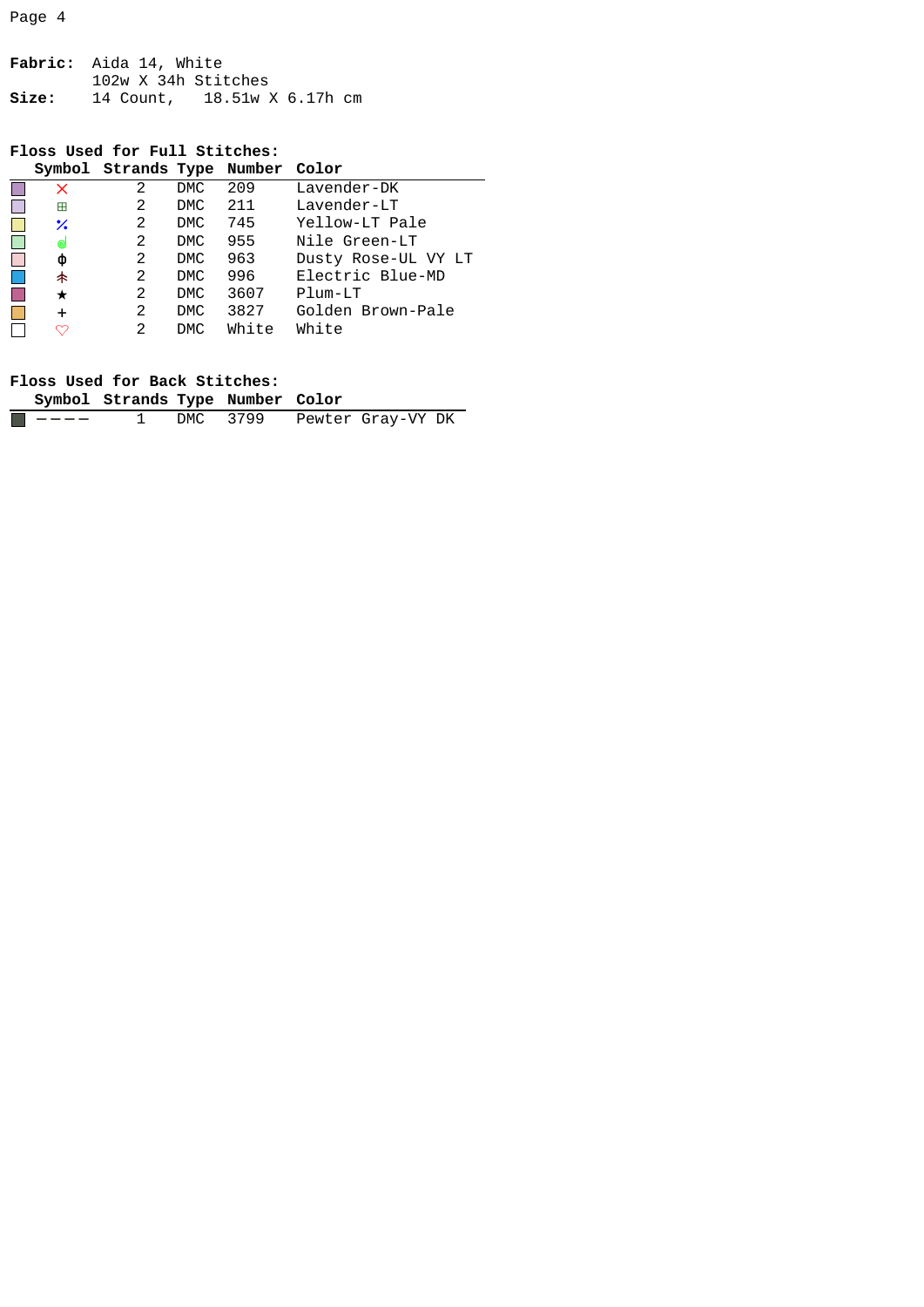Page 4

|       | Fabric: Aida 14, White      |
|-------|-----------------------------|
|       | 102w X 34h Stitches         |
| Size: | 14 Count, 18.51w X 6.17h cm |

## **Floss Used for Full Stitches:**

|         | Symbol Strands Type Number Color |            |       |                     |
|---------|----------------------------------|------------|-------|---------------------|
| ×       | 2                                | DMC        | 209   | Lavender-DK         |
| 田       | 2                                | <b>DMC</b> | 211   | Lavender-LT         |
| ℅       | 2                                | DMC        | 745   | Yellow-LT Pale      |
| $\circ$ | 2                                | DMC        | 955   | Nile Green-LT       |
| Ф       | 2                                | <b>DMC</b> | 963   | Dusty Rose-UL VY LT |
| ਇ       | 2                                | DMC.       | 996   | Electric Blue-MD    |
| ★       | 2                                | DMC        | 3607  | $Plum-LT$           |
| ┿       | 2                                | DMC        | 3827  | Golden Brown-Pale   |
|         | 2                                | DMC        | White | White               |

## **Floss Used for Back Stitches:**

|                       | Symbol Strands Type Number Color |          |                   |  |
|-----------------------|----------------------------------|----------|-------------------|--|
| $\qquad \qquad - - -$ |                                  | DMC 3799 | Pewter Gray-VY DK |  |